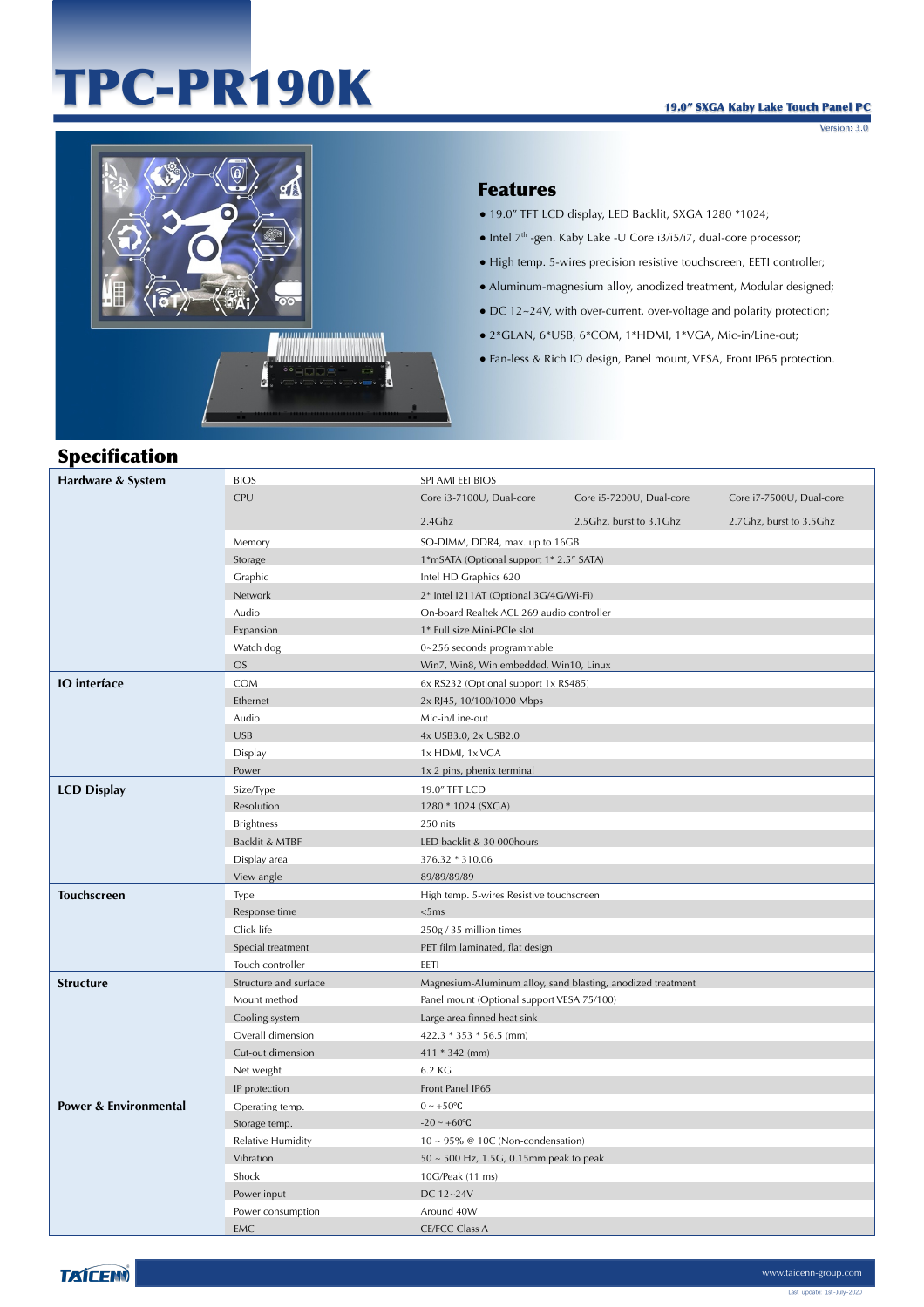# TPC-PR190K



### Features

- 19.0" TFT LCD display, LED Backlit, SXGA 1280 \*1024;
- $\bullet$  Intel  $7<sup>th</sup>$  -gen. Kaby Lake -U Core i3/i5/i7, dual-core processor;
- High temp. 5-wires precision resistive touchscreen, EETI controller;
- Aluminum-magnesium alloy, anodized treatment, Modular designed;
- DC 12~24V, with over-current, over-voltage and polarity protection;
- 2\*GLAN, 6\*USB, 6\*COM, 1\*HDMI, 1\*VGA, Mic-in/Line-out;
- Fan-less & Rich IO design, Panel mount, VESA, Front IP65 protection.

## Specification

| Hardware & System                | <b>BIOS</b>           | SPI AMI EEI BIOS                                            |                                           |                           |  |
|----------------------------------|-----------------------|-------------------------------------------------------------|-------------------------------------------|---------------------------|--|
|                                  | CPU                   | Core i3-7100U, Dual-core                                    | Core i5-7200U, Dual-core                  | Core i7-7500U, Dual-core  |  |
|                                  |                       | 2.4Ghz                                                      | 2.5 Ghz, burst to 3.1 Ghz                 | 2.7 Ghz, burst to 3.5 Ghz |  |
|                                  | Memory                | SO-DIMM, DDR4, max. up to 16GB                              |                                           |                           |  |
|                                  | Storage               | 1*mSATA (Optional support 1* 2.5" SATA)                     |                                           |                           |  |
|                                  | Graphic               | Intel HD Graphics 620                                       |                                           |                           |  |
|                                  | Network               | 2* Intel I211AT (Optional 3G/4G/Wi-Fi)                      |                                           |                           |  |
|                                  | Audio                 |                                                             | On-board Realtek ACL 269 audio controller |                           |  |
|                                  | Expansion             | 1* Full size Mini-PCIe slot                                 |                                           |                           |  |
|                                  | Watch dog             | 0~256 seconds programmable                                  |                                           |                           |  |
|                                  | <b>OS</b>             | Win7, Win8, Win embedded, Win10, Linux                      |                                           |                           |  |
| <b>IO</b> interface              | COM                   | 6x RS232 (Optional support 1x RS485)                        |                                           |                           |  |
|                                  | Ethernet              | 2x RJ45, 10/100/1000 Mbps                                   |                                           |                           |  |
|                                  | Audio                 | Mic-in/Line-out                                             |                                           |                           |  |
|                                  | <b>USB</b>            | 4x USB3.0, 2x USB2.0                                        |                                           |                           |  |
|                                  | Display               | 1x HDMI, 1x VGA                                             |                                           |                           |  |
|                                  | Power                 | 1x 2 pins, phenix terminal                                  |                                           |                           |  |
| <b>LCD Display</b>               | Size/Type             | 19.0" TFT LCD                                               |                                           |                           |  |
|                                  | Resolution            | 1280 * 1024 (SXGA)                                          |                                           |                           |  |
|                                  | <b>Brightness</b>     | 250 nits                                                    |                                           |                           |  |
|                                  | Backlit & MTBF        | LED backlit & 30 000hours                                   |                                           |                           |  |
|                                  | Display area          | 376.32 * 310.06                                             |                                           |                           |  |
|                                  | View angle            | 89/89/89/89                                                 |                                           |                           |  |
| <b>Touchscreen</b>               | Type                  | High temp. 5-wires Resistive touchscreen                    |                                           |                           |  |
|                                  | Response time         | <5ms                                                        |                                           |                           |  |
|                                  | Click life            | 250g / 35 million times                                     |                                           |                           |  |
|                                  | Special treatment     | PET film laminated, flat design                             |                                           |                           |  |
|                                  | Touch controller      | EETI                                                        |                                           |                           |  |
| <b>Structure</b>                 | Structure and surface | Magnesium-Aluminum alloy, sand blasting, anodized treatment |                                           |                           |  |
|                                  | Mount method          | Panel mount (Optional support VESA 75/100)                  |                                           |                           |  |
|                                  | Cooling system        | Large area finned heat sink                                 |                                           |                           |  |
|                                  | Overall dimension     | 422.3 * 353 * 56.5 (mm)                                     |                                           |                           |  |
|                                  | Cut-out dimension     | $411 * 342$ (mm)                                            |                                           |                           |  |
|                                  | Net weight            | 6.2 KG                                                      |                                           |                           |  |
|                                  | IP protection         | Front Panel IP65                                            |                                           |                           |  |
| <b>Power &amp; Environmental</b> | Operating temp.       | $0 \sim +50$ °C                                             |                                           |                           |  |
|                                  | Storage temp.         | $-20 \sim +60$ °C                                           |                                           |                           |  |
|                                  | Relative Humidity     | $10 \sim 95\%$ @ 10C (Non-condensation)                     |                                           |                           |  |
|                                  | Vibration             | 50 ~ 500 Hz, 1.5G, 0.15mm peak to peak                      |                                           |                           |  |
|                                  | Shock                 | 10G/Peak (11 ms)                                            |                                           |                           |  |
|                                  | Power input           | DC 12~24V                                                   |                                           |                           |  |
|                                  | Power consumption     |                                                             | Around 40W                                |                           |  |
|                                  | <b>EMC</b>            | <b>CE/FCC Class A</b>                                       |                                           |                           |  |